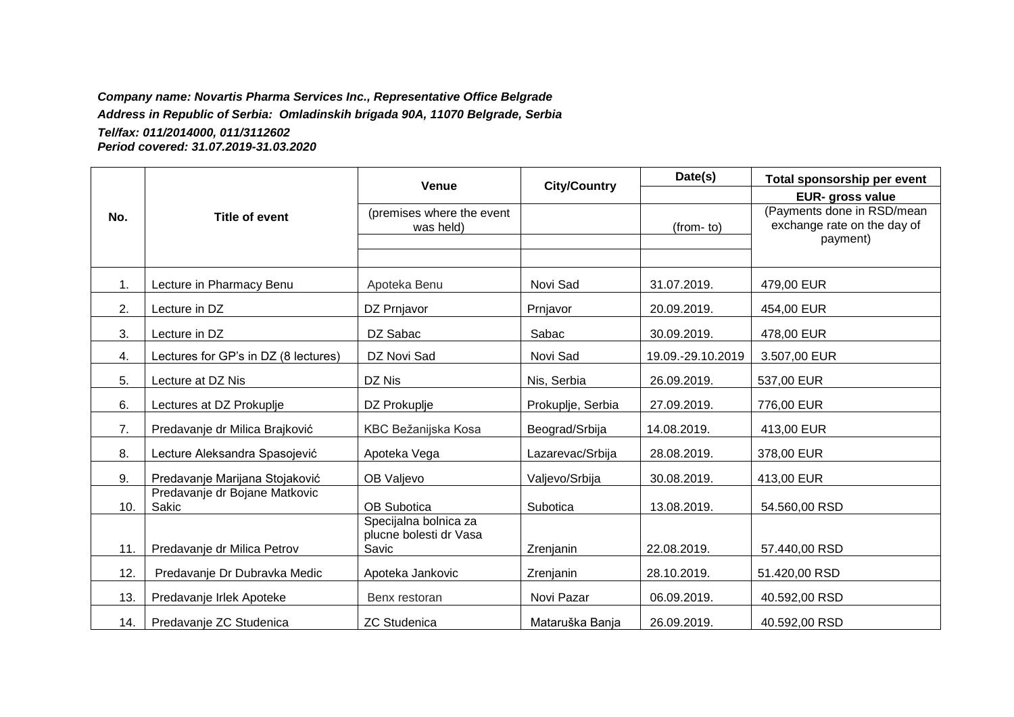#### *Company name: Novartis Pharma Services Inc., Representative Office Belgrade*

*Address in Republic of Serbia: Omladinskih brigada 90A, 11070 Belgrade, Serbia*

#### *Tel/fax: 011/2014000, 011/3112602 Period covered: 31.07.2019-31.03.2020*

|     | <b>Title of event</b>                  | <b>Venue</b>                                             | <b>City/Country</b> | Date(s)           | Total sponsorship per event                                           |
|-----|----------------------------------------|----------------------------------------------------------|---------------------|-------------------|-----------------------------------------------------------------------|
|     |                                        |                                                          |                     |                   | <b>EUR-</b> gross value                                               |
| No. |                                        | (premises where the event<br>was held)                   |                     | (from-to)         | (Payments done in RSD/mean<br>exchange rate on the day of<br>payment) |
| 1.  | Lecture in Pharmacy Benu               | Apoteka Benu                                             | Novi Sad            | 31.07.2019.       | 479,00 EUR                                                            |
| 2.  | Lecture in DZ                          | DZ Prnjavor                                              | Prnjavor            | 20.09.2019.       | 454,00 EUR                                                            |
| 3.  | Lecture in DZ                          | DZ Sabac                                                 | Sabac               | 30.09.2019.       | 478,00 EUR                                                            |
| 4.  | Lectures for GP's in DZ (8 lectures)   | DZ Novi Sad                                              | Novi Sad            | 19.09.-29.10.2019 | 3.507,00 EUR                                                          |
| 5.  | Lecture at DZ Nis                      | DZ Nis                                                   | Nis, Serbia         | 26.09.2019.       | 537,00 EUR                                                            |
| 6.  | Lectures at DZ Prokuplje               | DZ Prokuplje                                             | Prokuplje, Serbia   | 27.09.2019.       | 776,00 EUR                                                            |
| 7.  | Predavanje dr Milica Brajković         | KBC Bežanijska Kosa                                      | Beograd/Srbija      | 14.08.2019.       | 413,00 EUR                                                            |
| 8.  | Lecture Aleksandra Spasojević          | Apoteka Vega                                             | Lazarevac/Srbija    | 28.08.2019.       | 378,00 EUR                                                            |
| 9.  | Predavanje Marijana Stojaković         | OB Valjevo                                               | Valjevo/Srbija      | 30.08.2019.       | 413,00 EUR                                                            |
| 10. | Predavanje dr Bojane Matkovic<br>Sakic | OB Subotica                                              | Subotica            | 13.08.2019.       | 54.560,00 RSD                                                         |
| 11. | Predavanje dr Milica Petrov            | Specijalna bolnica za<br>plucne bolesti dr Vasa<br>Savic | Zrenjanin           | 22.08.2019.       | 57.440,00 RSD                                                         |
| 12. | Predavanje Dr Dubravka Medic           | Apoteka Jankovic                                         | Zrenjanin           | 28.10.2019.       | 51.420,00 RSD                                                         |
| 13. | Predavanje Irlek Apoteke               | Benx restoran                                            | Novi Pazar          | 06.09.2019.       | 40.592,00 RSD                                                         |
| 14. | Predavanje ZC Studenica                | <b>ZC Studenica</b>                                      | Mataruška Banja     | 26.09.2019.       | 40.592,00 RSD                                                         |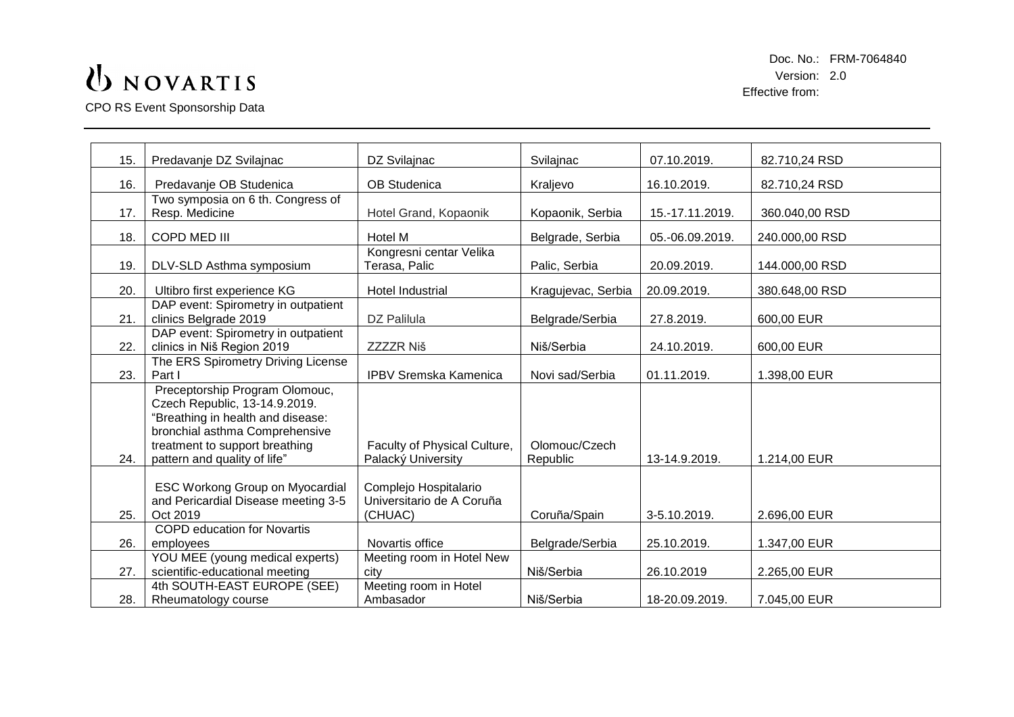CPO RS Event Sponsorship Data

| 15. | Predavanje DZ Svilajnac                                                                                                                                                                                  | DZ Svilajnac                                                  | Svilajnac                 | 07.10.2019.     | 82.710,24 RSD  |
|-----|----------------------------------------------------------------------------------------------------------------------------------------------------------------------------------------------------------|---------------------------------------------------------------|---------------------------|-----------------|----------------|
| 16. | Predavanje OB Studenica                                                                                                                                                                                  | <b>OB Studenica</b>                                           | Kraljevo                  | 16.10.2019.     | 82.710,24 RSD  |
| 17. | Two symposia on 6 th. Congress of<br>Resp. Medicine                                                                                                                                                      | Hotel Grand, Kopaonik                                         | Kopaonik, Serbia          | 15.-17.11.2019. | 360.040,00 RSD |
| 18. | <b>COPD MED III</b>                                                                                                                                                                                      | Hotel M                                                       | Belgrade, Serbia          | 05.-06.09.2019. | 240.000,00 RSD |
| 19. | DLV-SLD Asthma symposium                                                                                                                                                                                 | Kongresni centar Velika<br>Terasa, Palic                      | Palic, Serbia             | 20.09.2019.     | 144.000,00 RSD |
| 20. | Ultibro first experience KG                                                                                                                                                                              | <b>Hotel Industrial</b>                                       | Kragujevac, Serbia        | 20.09.2019.     | 380.648,00 RSD |
| 21. | DAP event: Spirometry in outpatient<br>clinics Belgrade 2019                                                                                                                                             | DZ Palilula                                                   | Belgrade/Serbia           | 27.8.2019.      | 600,00 EUR     |
| 22. | DAP event: Spirometry in outpatient<br>clinics in Niš Region 2019                                                                                                                                        | <b>ZZZZR Niš</b>                                              | Niš/Serbia                | 24.10.2019.     | 600,00 EUR     |
| 23. | The ERS Spirometry Driving License<br>Part I                                                                                                                                                             | <b>IPBV Sremska Kamenica</b>                                  | Novi sad/Serbia           | 01.11.2019.     | 1.398,00 EUR   |
| 24. | Preceptorship Program Olomouc,<br>Czech Republic, 13-14.9.2019.<br>"Breathing in health and disease:<br>bronchial asthma Comprehensive<br>treatment to support breathing<br>pattern and quality of life" | Faculty of Physical Culture,<br>Palacký University            | Olomouc/Czech<br>Republic | 13-14.9.2019.   | 1.214,00 EUR   |
| 25. | <b>ESC Workong Group on Myocardial</b><br>and Pericardial Disease meeting 3-5<br>Oct 2019                                                                                                                | Complejo Hospitalario<br>Universitario de A Coruña<br>(CHUAC) | Coruña/Spain              | 3-5.10.2019.    | 2.696,00 EUR   |
| 26. | <b>COPD education for Novartis</b><br>employees                                                                                                                                                          | Novartis office                                               | Belgrade/Serbia           | 25.10.2019.     | 1.347,00 EUR   |
| 27. | YOU MEE (young medical experts)<br>scientific-educational meeting                                                                                                                                        | Meeting room in Hotel New<br>city                             | Niš/Serbia                | 26.10.2019      | 2.265,00 EUR   |
| 28. | 4th SOUTH-EAST EUROPE (SEE)<br>Rheumatology course                                                                                                                                                       | Meeting room in Hotel<br>Ambasador                            | Niš/Serbia                | 18-20.09.2019.  | 7.045,00 EUR   |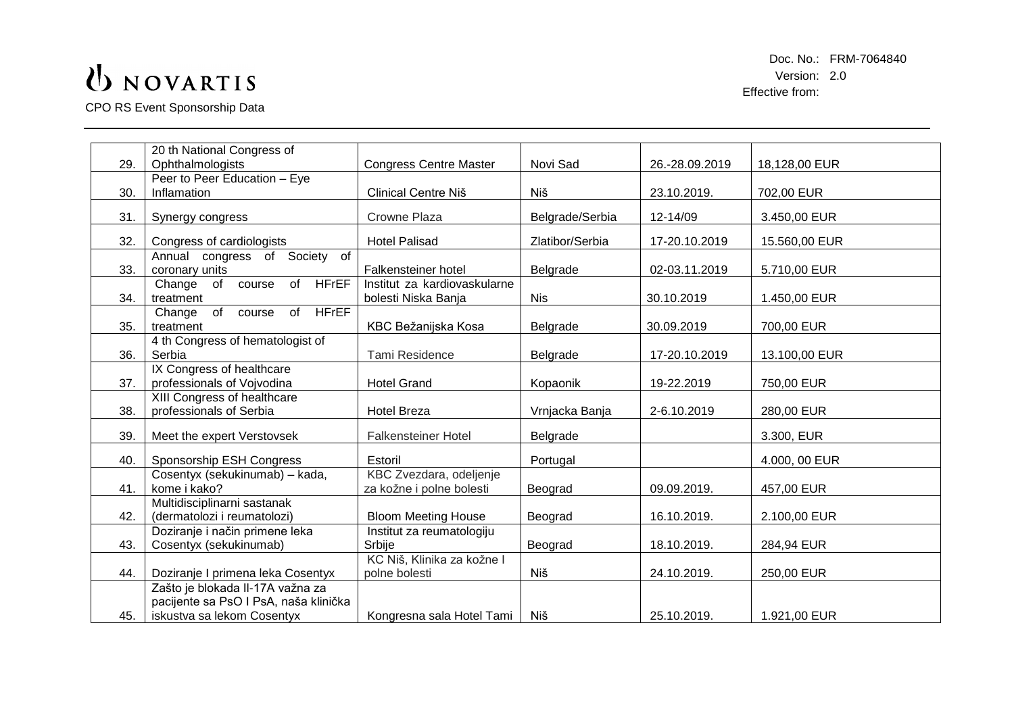CPO RS Event Sponsorship Data

|     | 20 th National Congress of                   |                               |                 |                |               |
|-----|----------------------------------------------|-------------------------------|-----------------|----------------|---------------|
| 29. | Ophthalmologists                             | <b>Congress Centre Master</b> | Novi Sad        | 26.-28.09.2019 | 18,128,00 EUR |
|     | Peer to Peer Education - Eye                 |                               |                 |                |               |
| 30. | Inflamation                                  | Clinical Centre Niš           | Niš             | 23.10.2019.    | 702,00 EUR    |
| 31. |                                              | Crowne Plaza                  | Belgrade/Serbia | 12-14/09       | 3.450,00 EUR  |
|     | Synergy congress                             |                               |                 |                |               |
| 32. | Congress of cardiologists                    | <b>Hotel Palisad</b>          | Zlatibor/Serbia | 17-20.10.2019  | 15.560,00 EUR |
|     | Annual congress of Society of                |                               |                 |                |               |
| 33. | coronary units                               | Falkensteiner hotel           | Belgrade        | 02-03.11.2019  | 5.710,00 EUR  |
|     | of HFrEF<br>of<br>Change<br>course           | Institut za kardiovaskularne  |                 |                |               |
| 34. | treatment                                    | bolesti Niska Banja           | <b>Nis</b>      | 30.10.2019     | 1.450,00 EUR  |
|     | <b>HFrEF</b><br>of<br>of<br>Change<br>course |                               |                 |                |               |
| 35. | treatment                                    | KBC Bežanijska Kosa           | Belgrade        | 30.09.2019     | 700,00 EUR    |
|     | 4 th Congress of hematologist of             |                               |                 |                |               |
| 36. | Serbia                                       | Tami Residence                | Belgrade        | 17-20.10.2019  | 13.100,00 EUR |
|     | IX Congress of healthcare                    |                               |                 |                |               |
| 37. | professionals of Vojvodina                   | <b>Hotel Grand</b>            | Kopaonik        | 19-22.2019     | 750,00 EUR    |
|     | XIII Congress of healthcare                  |                               |                 |                |               |
| 38. | professionals of Serbia                      | <b>Hotel Breza</b>            | Vrnjacka Banja  | 2-6.10.2019    | 280,00 EUR    |
|     |                                              |                               |                 |                |               |
| 39. | Meet the expert Verstovsek                   | <b>Falkensteiner Hotel</b>    | Belgrade        |                | 3.300, EUR    |
| 40. | Sponsorship ESH Congress                     | Estoril                       | Portugal        |                | 4.000, 00 EUR |
|     | Cosentyx (sekukinumab) - kada,               | KBC Zvezdara, odeljenje       |                 |                |               |
| 41. | kome i kako?                                 | za kožne i polne bolesti      | Beograd         | 09.09.2019.    | 457,00 EUR    |
|     | Multidisciplinarni sastanak                  |                               |                 |                |               |
| 42. | (dermatolozi i reumatolozi)                  | <b>Bloom Meeting House</b>    | Beograd         | 16.10.2019.    | 2.100,00 EUR  |
|     | Doziranje i način primene leka               | Institut za reumatologiju     |                 |                |               |
| 43. | Cosentyx (sekukinumab)                       | Srbije                        | Beograd         | 18.10.2019.    | 284,94 EUR    |
|     |                                              | KC Niš, Klinika za kožne l    |                 |                |               |
| 44. | Doziranje I primena leka Cosentyx            | polne bolesti                 | Niš             | 24.10.2019.    | 250,00 EUR    |
|     | Zašto je blokada Il-17A važna za             |                               |                 |                |               |
|     | pacijente sa PsO I PsA, naša klinička        |                               |                 |                |               |
| 45. | iskustva sa lekom Cosentyx                   | Kongresna sala Hotel Tami     | Niš             | 25.10.2019.    | 1.921,00 EUR  |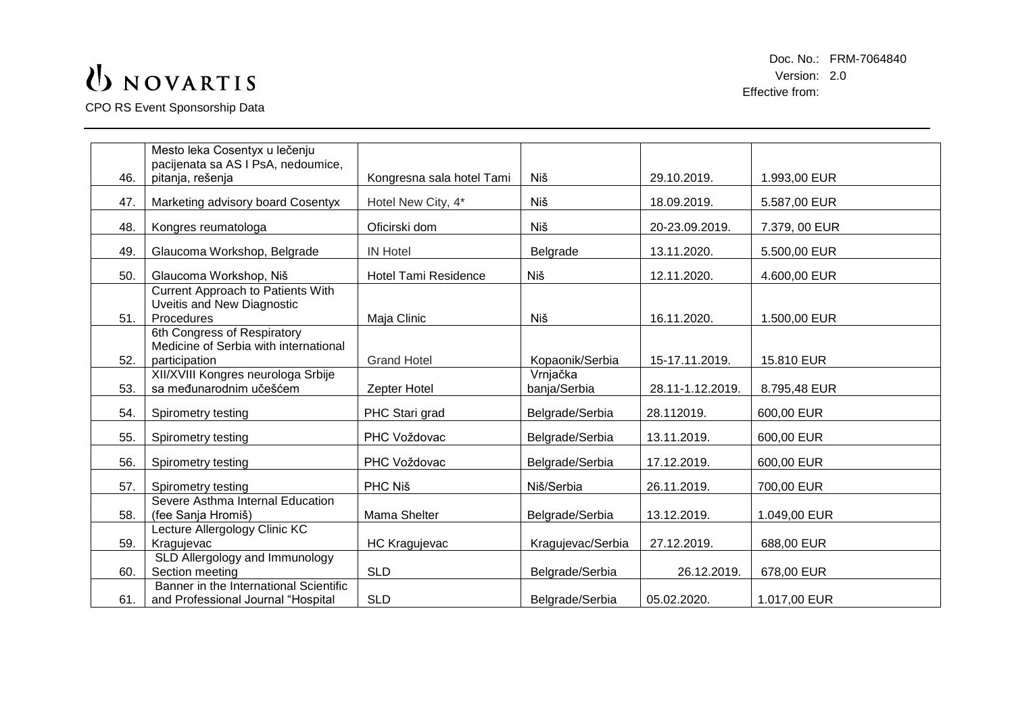CPO RS Event Sponsorship Data

| 46. | Mesto leka Cosentyx u lečenju<br>pacijenata sa AS I PsA, nedoumice,<br>pitanja, rešenja | Kongresna sala hotel Tami   | Niš                      | 29.10.2019.      | 1.993,00 EUR  |
|-----|-----------------------------------------------------------------------------------------|-----------------------------|--------------------------|------------------|---------------|
| 47. | Marketing advisory board Cosentyx                                                       | Hotel New City, 4*          | Niš                      | 18.09.2019.      | 5.587,00 EUR  |
| 48. | Kongres reumatologa                                                                     | Oficirski dom               | Niš                      | 20-23.09.2019.   | 7.379, 00 EUR |
| 49. | Glaucoma Workshop, Belgrade                                                             | <b>IN Hotel</b>             | Belgrade                 | 13.11.2020.      | 5.500,00 EUR  |
| 50. | Glaucoma Workshop, Niš                                                                  | <b>Hotel Tami Residence</b> | Niš                      | 12.11.2020.      | 4.600,00 EUR  |
| 51. | Current Approach to Patients With<br>Uveitis and New Diagnostic<br>Procedures           | Maja Clinic                 | Niš                      | 16.11.2020.      | 1.500,00 EUR  |
| 52. | 6th Congress of Respiratory<br>Medicine of Serbia with international<br>participation   | <b>Grand Hotel</b>          | Kopaonik/Serbia          | 15-17.11.2019.   | 15.810 EUR    |
| 53. | XII/XVIII Kongres neurologa Srbije<br>sa međunarodnim učešćem                           | Zepter Hotel                | Vrnjačka<br>banja/Serbia | 28.11-1.12.2019. | 8.795,48 EUR  |
| 54. | Spirometry testing                                                                      | PHC Stari grad              | Belgrade/Serbia          | 28.112019.       | 600,00 EUR    |
| 55. | Spirometry testing                                                                      | PHC Voždovac                | Belgrade/Serbia          | 13.11.2019.      | 600,00 EUR    |
| 56. | Spirometry testing                                                                      | PHC Voždovac                | Belgrade/Serbia          | 17.12.2019.      | 600,00 EUR    |
| 57. | Spirometry testing                                                                      | PHC Niš                     | Niš/Serbia               | 26.11.2019.      | 700,00 EUR    |
| 58. | Severe Asthma Internal Education<br>(fee Sanja Hromiš)                                  | Mama Shelter                | Belgrade/Serbia          | 13.12.2019.      | 1.049,00 EUR  |
| 59. | Lecture Allergology Clinic KC<br>Kragujevac                                             | <b>HC Kragujevac</b>        | Kragujevac/Serbia        | 27.12.2019.      | 688,00 EUR    |
| 60. | SLD Allergology and Immunology<br>Section meeting                                       | <b>SLD</b>                  | Belgrade/Serbia          | 26.12.2019.      | 678,00 EUR    |
| 61. | Banner in the International Scientific<br>and Professional Journal "Hospital            | <b>SLD</b>                  | Belgrade/Serbia          | 05.02.2020.      | 1.017,00 EUR  |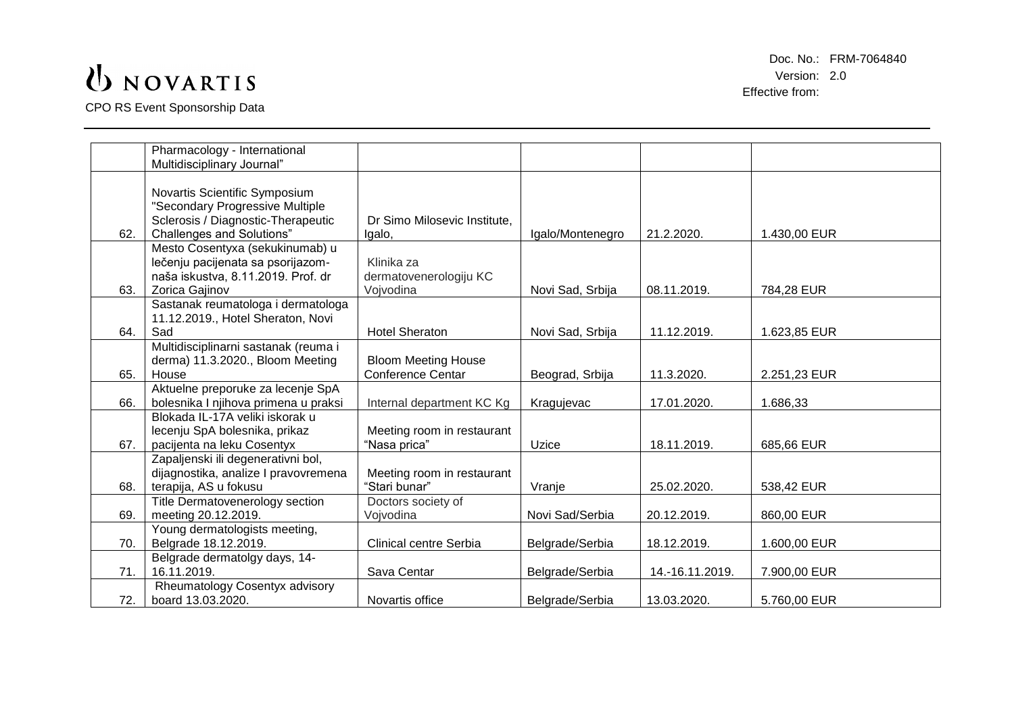CPO RS Event Sponsorship Data

|     | Pharmacology - International         |                              |                  |                 |              |
|-----|--------------------------------------|------------------------------|------------------|-----------------|--------------|
|     | Multidisciplinary Journal"           |                              |                  |                 |              |
|     |                                      |                              |                  |                 |              |
|     | Novartis Scientific Symposium        |                              |                  |                 |              |
|     | "Secondary Progressive Multiple      |                              |                  |                 |              |
|     | Sclerosis / Diagnostic-Therapeutic   | Dr Simo Milosevic Institute, |                  |                 |              |
| 62. | <b>Challenges and Solutions"</b>     | Igalo,                       | Igalo/Montenegro | 21.2.2020.      | 1.430,00 EUR |
|     | Mesto Cosentyxa (sekukinumab) u      |                              |                  |                 |              |
|     | lečenju pacijenata sa psorijazom-    | Klinika za                   |                  |                 |              |
|     | naša iskustva, 8.11.2019. Prof. dr   | dermatovenerologiju KC       |                  |                 |              |
| 63. | Zorica Gajinov                       | Vojvodina                    | Novi Sad, Srbija | 08.11.2019.     | 784,28 EUR   |
|     |                                      |                              |                  |                 |              |
|     | Sastanak reumatologa i dermatologa   |                              |                  |                 |              |
|     | 11.12.2019., Hotel Sheraton, Novi    |                              |                  |                 |              |
| 64. | Sad                                  | <b>Hotel Sheraton</b>        | Novi Sad, Srbija | 11.12.2019.     | 1.623,85 EUR |
|     | Multidisciplinarni sastanak (reuma i |                              |                  |                 |              |
|     | derma) 11.3.2020., Bloom Meeting     | <b>Bloom Meeting House</b>   |                  |                 |              |
| 65. | House                                | <b>Conference Centar</b>     | Beograd, Srbija  | 11.3.2020.      | 2.251,23 EUR |
|     | Aktuelne preporuke za lecenje SpA    |                              |                  |                 |              |
| 66. | bolesnika I njihova primena u praksi | Internal department KC Kg    | Kragujevac       | 17.01.2020.     | 1.686,33     |
|     | Blokada IL-17A veliki iskorak u      |                              |                  |                 |              |
|     | lecenju SpA bolesnika, prikaz        | Meeting room in restaurant   |                  |                 |              |
| 67. | pacijenta na leku Cosentyx           | "Nasa prica"                 | Uzice            | 18.11.2019.     | 685,66 EUR   |
|     | Zapaljenski ili degenerativni bol,   |                              |                  |                 |              |
|     | dijagnostika, analize I pravovremena | Meeting room in restaurant   |                  |                 |              |
| 68. | terapija, AS u fokusu                | "Stari bunar"                | Vranje           | 25.02.2020.     | 538,42 EUR   |
|     | Title Dermatovenerology section      | Doctors society of           |                  |                 |              |
| 69. | meeting 20.12.2019.                  | Vojvodina                    | Novi Sad/Serbia  | 20.12.2019.     | 860,00 EUR   |
|     | Young dermatologists meeting,        |                              |                  |                 |              |
| 70. | Belgrade 18.12.2019.                 | Clinical centre Serbia       | Belgrade/Serbia  | 18.12.2019.     | 1.600,00 EUR |
|     | Belgrade dermatolgy days, 14-        |                              |                  |                 |              |
| 71. | 16.11.2019.                          | Sava Centar                  | Belgrade/Serbia  | 14.-16.11.2019. | 7.900,00 EUR |
|     | Rheumatology Cosentyx advisory       |                              |                  |                 |              |
| 72. | board 13.03.2020.                    | Novartis office              | Belgrade/Serbia  | 13.03.2020.     | 5.760,00 EUR |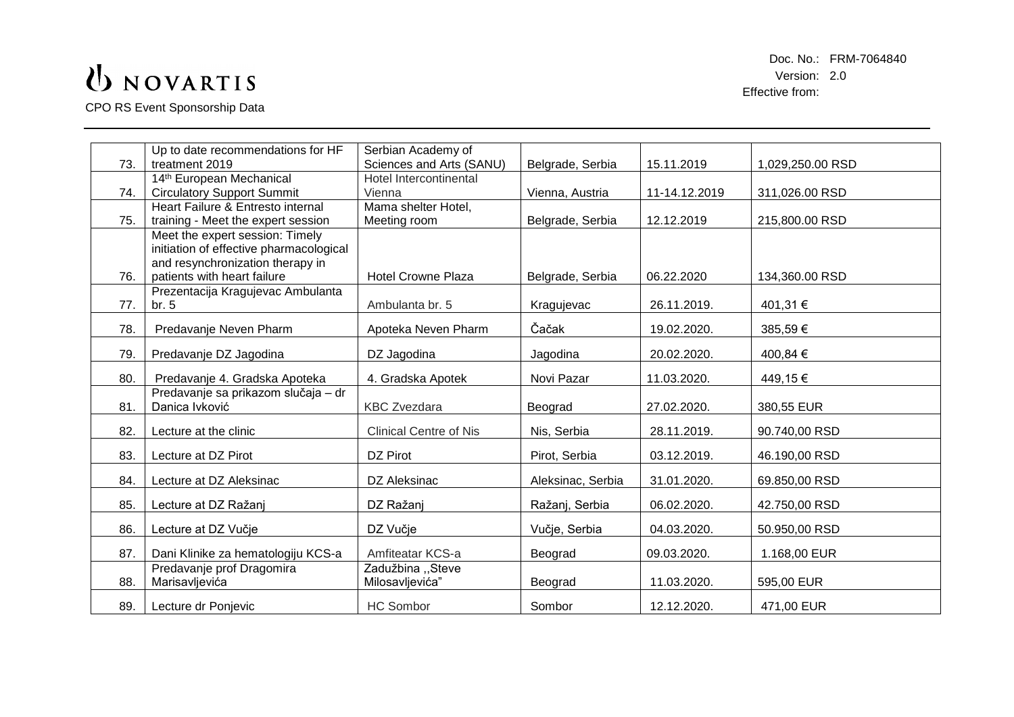CPO RS Event Sponsorship Data

|     | Up to date recommendations for HF                     | Serbian Academy of            |                   |               |                  |
|-----|-------------------------------------------------------|-------------------------------|-------------------|---------------|------------------|
| 73. | treatment 2019                                        | Sciences and Arts (SANU)      | Belgrade, Serbia  | 15.11.2019    | 1,029,250.00 RSD |
|     | 14th European Mechanical                              | <b>Hotel Intercontinental</b> |                   |               |                  |
| 74. | <b>Circulatory Support Summit</b>                     | Vienna                        | Vienna, Austria   | 11-14.12.2019 | 311,026.00 RSD   |
|     | Heart Failure & Entresto internal                     | Mama shelter Hotel,           |                   |               |                  |
| 75. | training - Meet the expert session                    | Meeting room                  | Belgrade, Serbia  | 12.12.2019    | 215,800.00 RSD   |
|     | Meet the expert session: Timely                       |                               |                   |               |                  |
|     | initiation of effective pharmacological               |                               |                   |               |                  |
|     | and resynchronization therapy in                      |                               |                   |               |                  |
| 76. | patients with heart failure                           | <b>Hotel Crowne Plaza</b>     | Belgrade, Serbia  | 06.22.2020    | 134,360.00 RSD   |
|     | Prezentacija Kragujevac Ambulanta                     |                               |                   |               |                  |
| 77. | br.5                                                  | Ambulanta br. 5               | Kragujevac        | 26.11.2019.   | 401,31 €         |
| 78. | Predavanje Neven Pharm                                | Apoteka Neven Pharm           | Čačak             | 19.02.2020.   | 385,59€          |
|     |                                                       |                               |                   |               |                  |
| 79. | Predavanje DZ Jagodina                                | DZ Jagodina                   | Jagodina          | 20.02.2020.   | 400,84 €         |
|     |                                                       |                               |                   |               |                  |
| 80. | Predavanje 4. Gradska Apoteka                         | 4. Gradska Apotek             | Novi Pazar        | 11.03.2020.   | 449,15€          |
| 81. | Predavanje sa prikazom slučaja - dr<br>Danica lvković | <b>KBC Zvezdara</b>           | Beograd           | 27.02.2020.   | 380,55 EUR       |
|     |                                                       |                               |                   |               |                  |
| 82. | Lecture at the clinic                                 | <b>Clinical Centre of Nis</b> | Nis, Serbia       | 28.11.2019.   | 90.740,00 RSD    |
|     |                                                       |                               |                   |               |                  |
| 83. | Lecture at DZ Pirot                                   | DZ Pirot                      | Pirot, Serbia     | 03.12.2019.   | 46.190,00 RSD    |
| 84. | Lecture at DZ Aleksinac                               | DZ Aleksinac                  | Aleksinac, Serbia | 31.01.2020.   | 69.850,00 RSD    |
|     |                                                       |                               |                   |               |                  |
| 85. | Lecture at DZ Ražanj                                  | DZ Ražanj                     | Ražanj, Serbia    | 06.02.2020.   | 42.750,00 RSD    |
|     |                                                       |                               |                   |               |                  |
| 86. | Lecture at DZ Vučje                                   | DZ Vučje                      | Vučje, Serbia     | 04.03.2020.   | 50.950,00 RSD    |
| 87. | Dani Klinike za hematologiju KCS-a                    | Amfiteatar KCS-a              | Beograd           | 09.03.2020.   | 1.168,00 EUR     |
|     | Predavanje prof Dragomira                             | Zadužbina "Steve              |                   |               |                  |
| 88. | Marisavljevića                                        | Milosavljevića"               | Beograd           | 11.03.2020.   | 595,00 EUR       |
|     |                                                       |                               |                   |               |                  |
| 89. | Lecture dr Ponjevic                                   | <b>HC Sombor</b>              | Sombor            | 12.12.2020.   | 471,00 EUR       |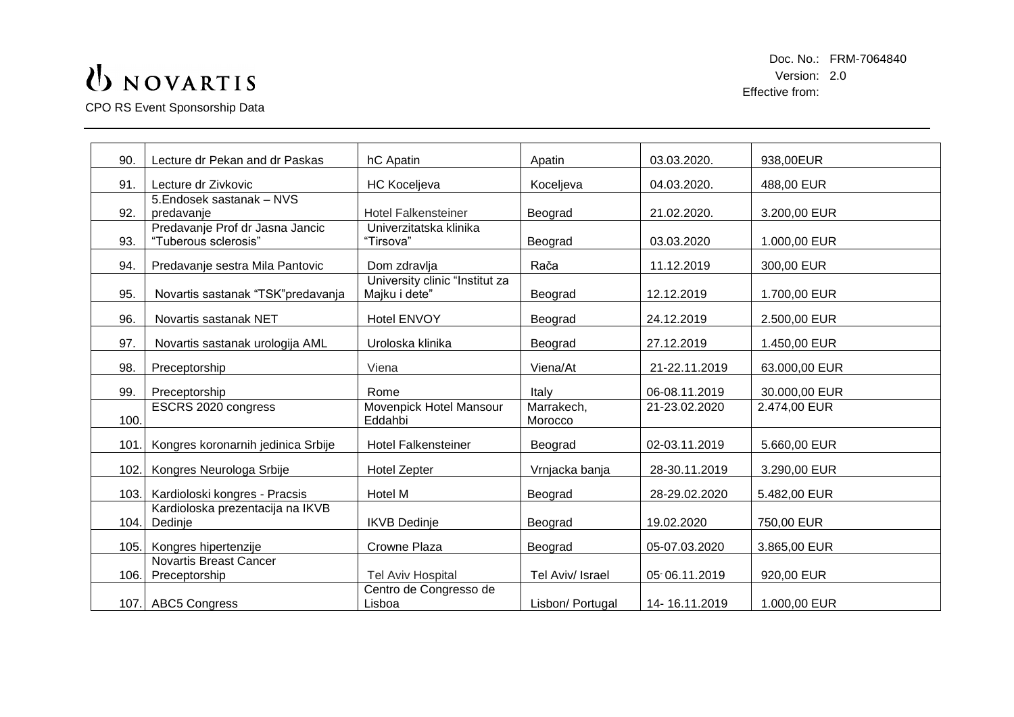CPO RS Event Sponsorship Data

| 90.  | Lecture dr Pekan and dr Paskas                          | hC Apatin                                       | Apatin                | 03.03.2020.   | 938,00EUR     |
|------|---------------------------------------------------------|-------------------------------------------------|-----------------------|---------------|---------------|
| 91.  | Lecture dr Zivkovic                                     | <b>HC Koceljeva</b>                             | Koceljeva             | 04.03.2020.   | 488,00 EUR    |
| 92.  | 5. Endosek sastanak - NVS<br>predavanje                 | <b>Hotel Falkensteiner</b>                      | Beograd               | 21.02.2020.   | 3.200,00 EUR  |
| 93.  | Predavanje Prof dr Jasna Jancic<br>"Tuberous sclerosis" | Univerzitatska klinika<br>"Tirsova"             | Beograd               | 03.03.2020    | 1.000,00 EUR  |
| 94.  | Predavanje sestra Mila Pantovic                         | Dom zdravlja                                    | Rača                  | 11.12.2019    | 300,00 EUR    |
| 95.  | Novartis sastanak "TSK" predavanja                      | University clinic "Institut za<br>Majku i dete" | Beograd               | 12.12.2019    | 1.700,00 EUR  |
| 96.  | Novartis sastanak NET                                   | <b>Hotel ENVOY</b>                              | Beograd               | 24.12.2019    | 2.500,00 EUR  |
| 97.  | Novartis sastanak urologija AML                         | Uroloska klinika                                | Beograd               | 27.12.2019    | 1.450,00 EUR  |
| 98.  | Preceptorship                                           | Viena                                           | Viena/At              | 21-22.11.2019 | 63.000,00 EUR |
| 99.  | Preceptorship                                           | Rome                                            | Italy                 | 06-08.11.2019 | 30.000,00 EUR |
| 100. | ESCRS 2020 congress                                     | Movenpick Hotel Mansour<br>Eddahbi              | Marrakech,<br>Morocco | 21-23.02.2020 | 2.474,00 EUR  |
| 101. | Kongres koronarnih jedinica Srbije                      | <b>Hotel Falkensteiner</b>                      | Beograd               | 02-03.11.2019 | 5.660,00 EUR  |
| 102. | Kongres Neurologa Srbije                                | <b>Hotel Zepter</b>                             | Vrnjacka banja        | 28-30.11.2019 | 3.290,00 EUR  |
| 103. | Kardioloski kongres - Pracsis                           | Hotel M                                         | Beograd               | 28-29.02.2020 | 5.482,00 EUR  |
| 104. | Kardioloska prezentacija na IKVB<br>Dedinje             | <b>IKVB</b> Dedinje                             | Beograd               | 19.02.2020    | 750,00 EUR    |
| 105. | Kongres hipertenzije                                    | Crowne Plaza                                    | Beograd               | 05-07.03.2020 | 3.865,00 EUR  |
| 106. | <b>Novartis Breast Cancer</b><br>Preceptorship          | <b>Tel Aviv Hospital</b>                        | Tel Aviv/ Israel      | 05 06.11.2019 | 920,00 EUR    |
|      | 107. ABC5 Congress                                      | Centro de Congresso de<br>Lisboa                | Lisbon/ Portugal      | 14-16.11.2019 | 1.000,00 EUR  |